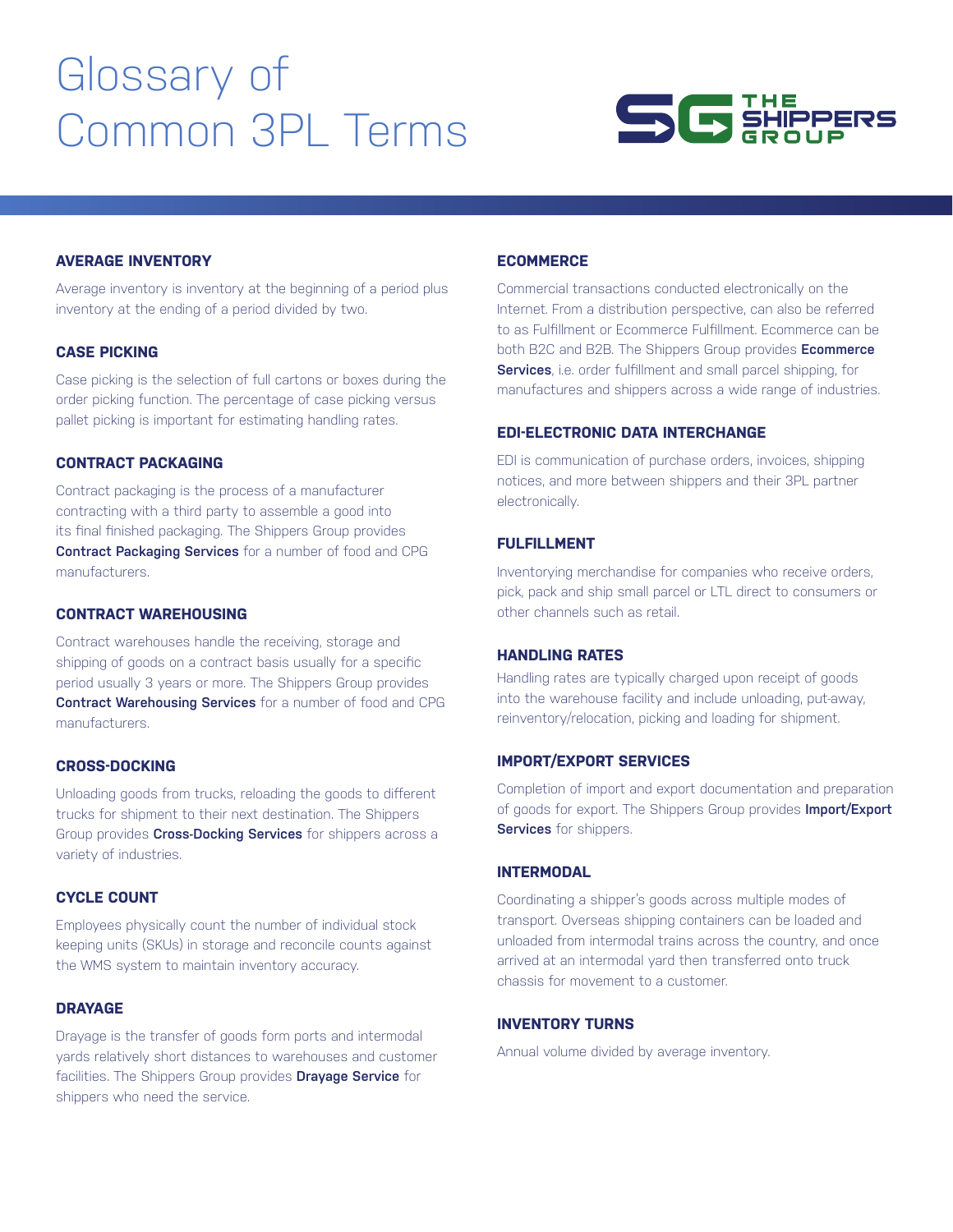# Glossary of Common 3PL Terms



# **AVERAGE INVENTORY**

Average inventory is inventory at the beginning of a period plus inventory at the ending of a period divided by two.

# **CASE PICKING**

Case picking is the selection of full cartons or boxes during the order picking function. The percentage of case picking versus pallet picking is important for estimating handling rates.

#### **CONTRACT PACKAGING**

Contract packaging is the process of a manufacturer contracting with a third party to assemble a good into its final finished packaging. The Shippers Group provides **[Contract Packaging Services](https://www.theshippersgroup.com/packaging)** for a number of food and CPG manufacturers.

#### **CONTRACT WAREHOUSING**

Contract warehouses handle the receiving, storage and shipping of goods on a contract basis usually for a specific period usually 3 years or more. The Shippers Group provides **[Contract Warehousing Services](https://www.theshippersgroup.com/warehousing)** for a number of food and CPG manufacturers.

# **CROSS-DOCKING**

Unloading goods from trucks, reloading the goods to different trucks for shipment to their next destination. The Shippers Group provides **[Cross-Docking Services](https://www.theshippersgroup.com/transportation)** for shippers across a variety of industries.

# **CYCLE COUNT**

Employees physically count the number of individual stock keeping units (SKUs) in storage and reconcile counts against the WMS system to maintain inventory accuracy.

#### **DRAYAGE**

Drayage is the transfer of goods form ports and intermodal yards relatively short distances to warehouses and customer facilities. The Shippers Group provides **[Drayage Service](https://www.theshippersgroup.com/transportation)** for shippers who need the service.

# **ECOMMERCE**

Commercial transactions conducted electronically on the Internet. From a distribution perspective, can also be referred to as Fulfillment or Ecommerce Fulfillment. Ecommerce can be both B2C and B2B. The Shippers Group provides **[Ecommerce](https://www.theshippersgroup.com/ecommerce)  [Services](https://www.theshippersgroup.com/ecommerce)**, i.e. order fulfillment and small parcel shipping, for manufactures and shippers across a wide range of industries.

#### **EDI-ELECTRONIC DATA INTERCHANGE**

EDI is communication of purchase orders, invoices, shipping notices, and more between shippers and their 3PL partner electronically.

## **FULFILLMENT**

Inventorying merchandise for companies who receive orders, pick, pack and ship small parcel or LTL direct to consumers or other channels such as retail.

## **HANDLING RATES**

Handling rates are typically charged upon receipt of goods into the warehouse facility and include unloading, put-away, reinventory/relocation, picking and loading for shipment.

# **IMPORT/EXPORT SERVICES**

Completion of import and export documentation and preparation of goods for export. The Shippers Group provides **[Import/Export](https://www.theshippersgroup.com/services)  [Services](https://www.theshippersgroup.com/services)** for shippers.

# **INTERMODAL**

Coordinating a shipper's goods across multiple modes of transport. Overseas shipping containers can be loaded and unloaded from intermodal trains across the country, and once arrived at an intermodal yard then transferred onto truck chassis for movement to a customer.

## **INVENTORY TURNS**

Annual volume divided by average inventory.